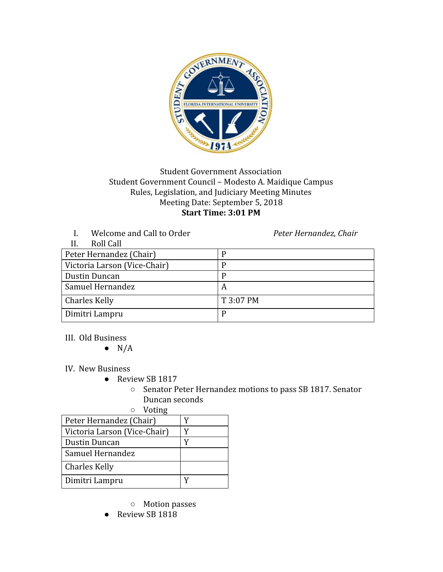

## Student Government Association Student Government Council – Modesto A. Maidique Campus Rules, Legislation, and Judiciary Meeting Minutes Meeting Date: September 5, 2018 **Start Time: 3:01 PM**

I. Welcome and Call to Order *Peter Hernandez, Chair*

| Roll Call<br>II.             |           |
|------------------------------|-----------|
| Peter Hernandez (Chair)      |           |
| Victoria Larson (Vice-Chair) |           |
| Dustin Duncan                |           |
| Samuel Hernandez             | A         |
| <b>Charles Kelly</b>         | T 3:07 PM |
| Dimitri Lampru               |           |

III. Old Business

 $\bullet$  N/A

IV. New Business

- Review SB 1817
	- Senator Peter Hernandez motions to pass SB 1817. Senator Duncan seconds

○ Voting

| "                            |  |
|------------------------------|--|
| Peter Hernandez (Chair)      |  |
| Victoria Larson (Vice-Chair) |  |
| Dustin Duncan                |  |
| Samuel Hernandez             |  |
| Charles Kelly                |  |
| Dimitri Lampru               |  |

- Motion passes
- Review SB 1818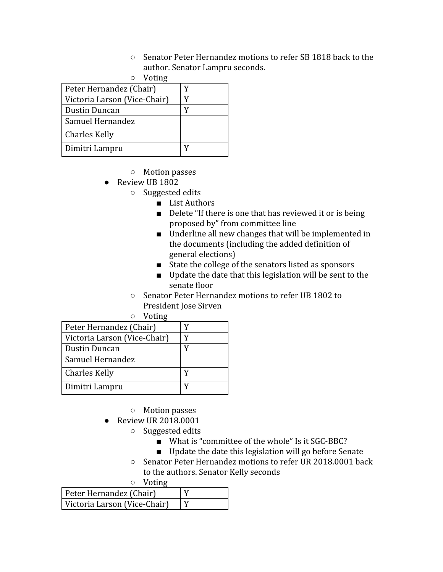○ Senator Peter Hernandez motions to refer SB 1818 back to the author. Senator Lampru seconds.

| $\circ$ Voting               |   |  |
|------------------------------|---|--|
| Peter Hernandez (Chair)      | v |  |
| Victoria Larson (Vice-Chair) |   |  |
| Dustin Duncan                |   |  |
| Samuel Hernandez             |   |  |
| Charles Kelly                |   |  |
| Dimitri Lampru               |   |  |

- Motion passes
- Review UB 1802
	- Suggested edits
		- List Authors
		- Delete "If there is one that has reviewed it or is being proposed by" from committee line
		- Underline all new changes that will be implemented in the documents (including the added definition of general elections)
		- State the college of the senators listed as sponsors
		- Update the date that this legislation will be sent to the senate floor
	- Senator Peter Hernandez motions to refer UB 1802 to President Jose Sirven

| $\circ$ Voting               |   |  |
|------------------------------|---|--|
| Peter Hernandez (Chair)      |   |  |
| Victoria Larson (Vice-Chair) | Y |  |
| Dustin Duncan                | Y |  |
| Samuel Hernandez             |   |  |
| Charles Kelly                |   |  |
| Dimitri Lampru               |   |  |

- Motion passes
- Review UR 2018.0001
	- Suggested edits
		- What is "committee of the whole" Is it SGC-BBC?
		- Update the date this legislation will go before Senate
	- Senator Peter Hernandez motions to refer UR 2018.0001 back to the authors. Senator Kelly seconds

○ Voting

| Peter Hernandez (Chair)      |  |
|------------------------------|--|
| Victoria Larson (Vice-Chair) |  |